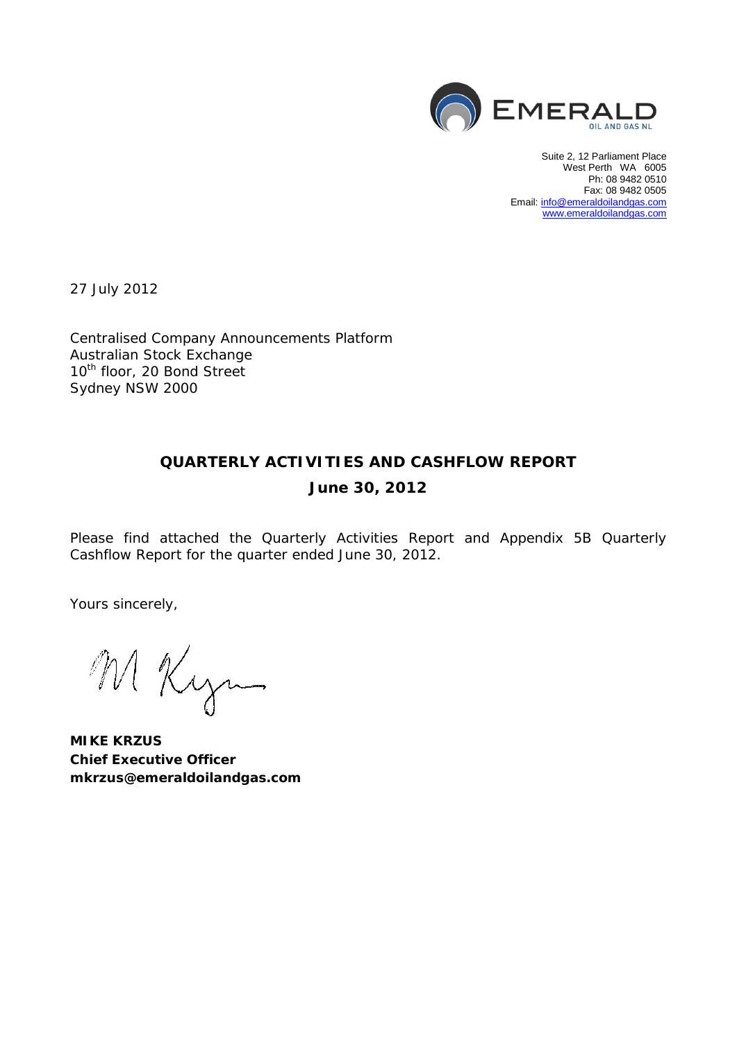

Suite 2, 12 Parliament Place West Perth WA 6005 Ph: 08 9482 0510 Fax: 08 9482 0505 Email: [info@emeraldoilandgas.com](mailto:info@emeraldoilandgas.com) [www.emeraldoilandgas.com](http://www.emeraldoilandgas.com/)

27 July 2012

Centralised Company Announcements Platform Australian Stock Exchange 10<sup>th</sup> floor, 20 Bond Street Sydney NSW 2000

# **QUARTERLY ACTIVITIES AND CASHFLOW REPORT June 30, 2012**

Please find attached the Quarterly Activities Report and Appendix 5B Quarterly Cashflow Report for the quarter ended June 30, 2012.

Yours sincerely,

M Kyn

**MIKE KRZUS Chief Executive Officer** *mkrzus@emeraldoilandgas.com*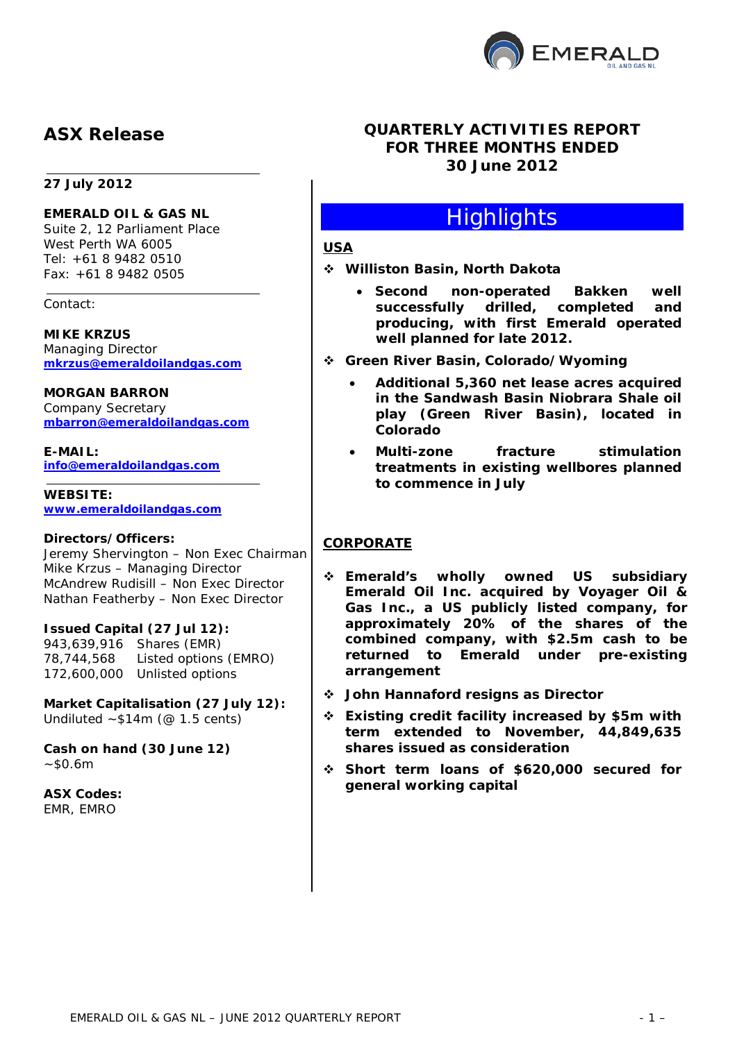

# **ASX Release**

## **27 July 2012**

**EMERALD OIL & GAS NL** Suite 2, 12 Parliament Place West Perth WA 6005 Tel: +61 8 9482 0510 Fax: +61 8 9482 0505

Contact:

**MIKE KRZUS** Managing Director *[mkrzus@emeraldoilandgas.com](mailto:mkrzus@emeraldoilandgas.com)*

## **MORGAN BARRON**

Company Secretary *mbarron@emeraldoilandgas.com*

**E-MAIL:** *info@emeraldoilandgas.com*

**WEBSITE:** *[www.emeraldoilandgas.com](http://www.emeraldoilandgas.com/)*

#### **Directors/Officers:**

Jeremy Shervington – Non Exec Chairman Mike Krzus – Managing Director McAndrew Rudisill – Non Exec Director Nathan Featherby – Non Exec Director

## **Issued Capital (27 Jul 12):**

943,639,916 Shares (EMR) 78,744,568 Listed options (EMRO) 172,600,000 Unlisted options

**Market Capitalisation (27 July 12):** Undiluted  $~514m$  (@ 1.5 cents)

**Cash on hand (30 June 12)**  $~50.6m$ 

**ASX Codes:** EMR, EMRO

## **QUARTERLY ACTIVITIES REPORT FOR THREE MONTHS ENDED 30 June 2012**

# **Highlights**

## **USA**

- *Williston Basin, North Dakota*
	- **Second non-operated Bakken well successfully drilled, completed and producing, with first Emerald operated well planned for late 2012.**
- *Green River Basin, Colorado/Wyoming*
	- **Additional 5,360 net lease acres acquired in the Sandwash Basin Niobrara Shale oil play (Green River Basin), located in Colorado**
	- **Multi-zone fracture stimulation treatments in existing wellbores planned to commence in July**

## **CORPORATE**

- **Emerald's wholly owned US subsidiary Emerald Oil Inc. acquired by Voyager Oil & Gas Inc., a US publicly listed company, for approximately 20% of the shares of the combined company, with \$2.5m cash to be returned to Emerald under pre-existing arrangement**
- **John Hannaford resigns as Director**
- **Existing credit facility increased by \$5m with term extended to November, 44,849,635 shares issued as consideration**
- **Short term loans of \$620,000 secured for general working capital**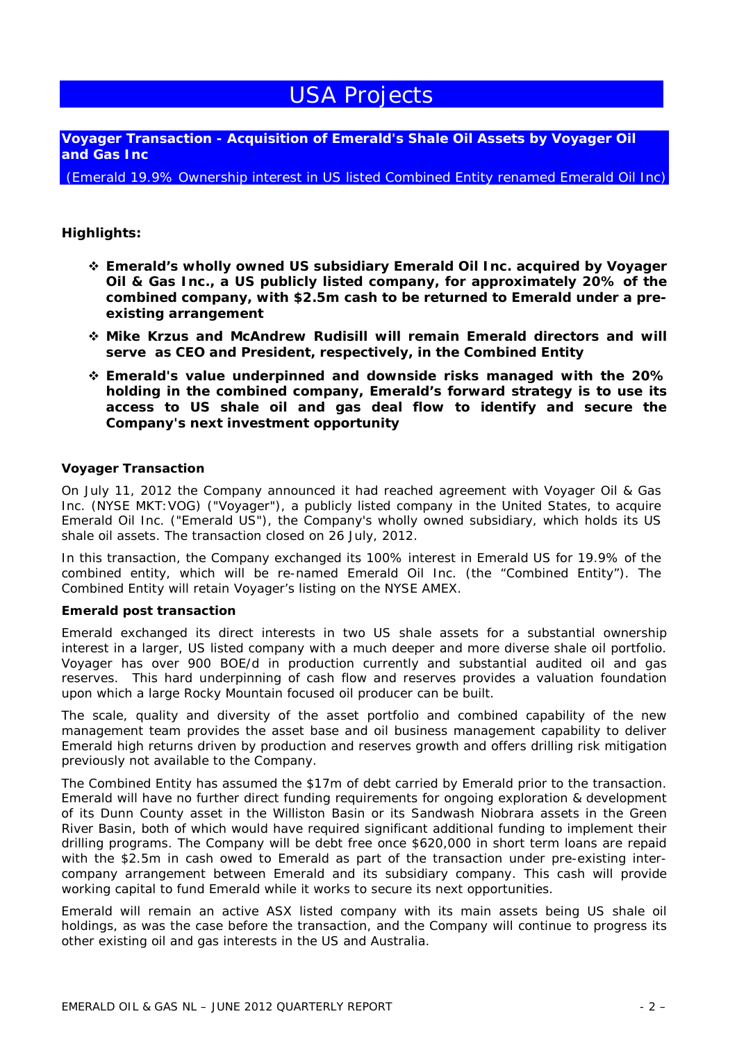# USA Projects

**Voyager Transaction - Acquisition of Emerald's Shale Oil Assets by Voyager Oil and Gas Inc**

*(Emerald 19.9% Ownership interest in US listed Combined Entity renamed Emerald Oil Inc)*

## **Highlights:**

- **Emerald's wholly owned US subsidiary Emerald Oil Inc. acquired by Voyager Oil & Gas Inc., a US publicly listed company, for approximately 20% of the combined company, with \$2.5m cash to be returned to Emerald under a preexisting arrangement**
- **Mike Krzus and McAndrew Rudisill will remain Emerald directors and will serve as CEO and President, respectively, in the Combined Entity**
- **Emerald's value underpinned and downside risks managed with the 20% holding in the combined company, Emerald's forward strategy is to use its access to US shale oil and gas deal flow to identify and secure the Company's next investment opportunity**

#### **Voyager Transaction**

On July 11, 2012 the Company announced it had reached agreement with Voyager Oil & Gas Inc. (NYSE MKT:VOG) ("Voyager"), a publicly listed company in the United States, to acquire Emerald Oil Inc. ("Emerald US"), the Company's wholly owned subsidiary, which holds its US shale oil assets. The transaction closed on 26 July, 2012.

In this transaction, the Company exchanged its 100% interest in Emerald US for 19.9% of the combined entity, which will be re-named Emerald Oil Inc. (the "Combined Entity"). The Combined Entity will retain Voyager's listing on the NYSE AMEX.

#### **Emerald post transaction**

Emerald exchanged its direct interests in two US shale assets for a substantial ownership interest in a larger, US listed company with a much deeper and more diverse shale oil portfolio. Voyager has over 900 BOE/d in production currently and substantial audited oil and gas reserves. This hard underpinning of cash flow and reserves provides a valuation foundation upon which a large Rocky Mountain focused oil producer can be built.

The scale, quality and diversity of the asset portfolio and combined capability of the new management team provides the asset base and oil business management capability to deliver Emerald high returns driven by production and reserves growth and offers drilling risk mitigation previously not available to the Company.

The Combined Entity has assumed the \$17m of debt carried by Emerald prior to the transaction. Emerald will have no further direct funding requirements for ongoing exploration & development of its Dunn County asset in the Williston Basin or its Sandwash Niobrara assets in the Green River Basin, both of which would have required significant additional funding to implement their drilling programs. The Company will be debt free once \$620,000 in short term loans are repaid with the \$2.5m in cash owed to Emerald as part of the transaction under pre-existing intercompany arrangement between Emerald and its subsidiary company. This cash will provide working capital to fund Emerald while it works to secure its next opportunities.

Emerald will remain an active ASX listed company with its main assets being US shale oil holdings, as was the case before the transaction, and the Company will continue to progress its other existing oil and gas interests in the US and Australia.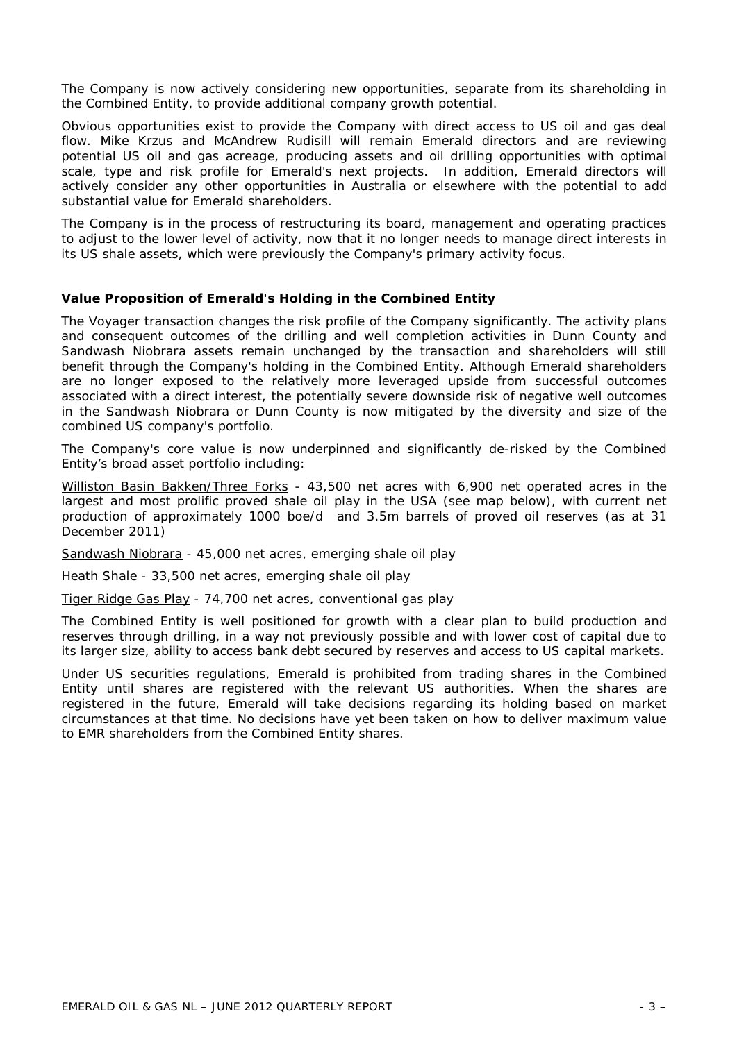The Company is now actively considering new opportunities, separate from its shareholding in the Combined Entity, to provide additional company growth potential.

Obvious opportunities exist to provide the Company with direct access to US oil and gas deal flow. Mike Krzus and McAndrew Rudisill will remain Emerald directors and are reviewing potential US oil and gas acreage, producing assets and oil drilling opportunities with optimal scale, type and risk profile for Emerald's next projects. In addition, Emerald directors will actively consider any other opportunities in Australia or elsewhere with the potential to add substantial value for Emerald shareholders.

The Company is in the process of restructuring its board, management and operating practices to adjust to the lower level of activity, now that it no longer needs to manage direct interests in its US shale assets, which were previously the Company's primary activity focus.

#### **Value Proposition of Emerald's Holding in the Combined Entity**

The Voyager transaction changes the risk profile of the Company significantly. The activity plans and consequent outcomes of the drilling and well completion activities in Dunn County and Sandwash Niobrara assets remain unchanged by the transaction and shareholders will still benefit through the Company's holding in the Combined Entity. Although Emerald shareholders are no longer exposed to the relatively more leveraged upside from successful outcomes associated with a direct interest, the potentially severe downside risk of negative well outcomes in the Sandwash Niobrara or Dunn County is now mitigated by the diversity and size of the combined US company's portfolio.

The Company's core value is now underpinned and significantly de-risked by the Combined Entity's broad asset portfolio including:

Williston Basin Bakken/Three Forks - 43,500 net acres with 6,900 net operated acres in the largest and most prolific proved shale oil play in the USA (see map below), with current net production of approximately 1000 boe/d and 3.5m barrels of proved oil reserves (as at 31 December 2011)

Sandwash Niobrara - 45,000 net acres, emerging shale oil play

Heath Shale - 33,500 net acres, emerging shale oil play

Tiger Ridge Gas Play - 74,700 net acres, conventional gas play

The Combined Entity is well positioned for growth with a clear plan to build production and reserves through drilling, in a way not previously possible and with lower cost of capital due to its larger size, ability to access bank debt secured by reserves and access to US capital markets.

Under US securities regulations, Emerald is prohibited from trading shares in the Combined Entity until shares are registered with the relevant US authorities. When the shares are registered in the future, Emerald will take decisions regarding its holding based on market circumstances at that time. No decisions have yet been taken on how to deliver maximum value to EMR shareholders from the Combined Entity shares.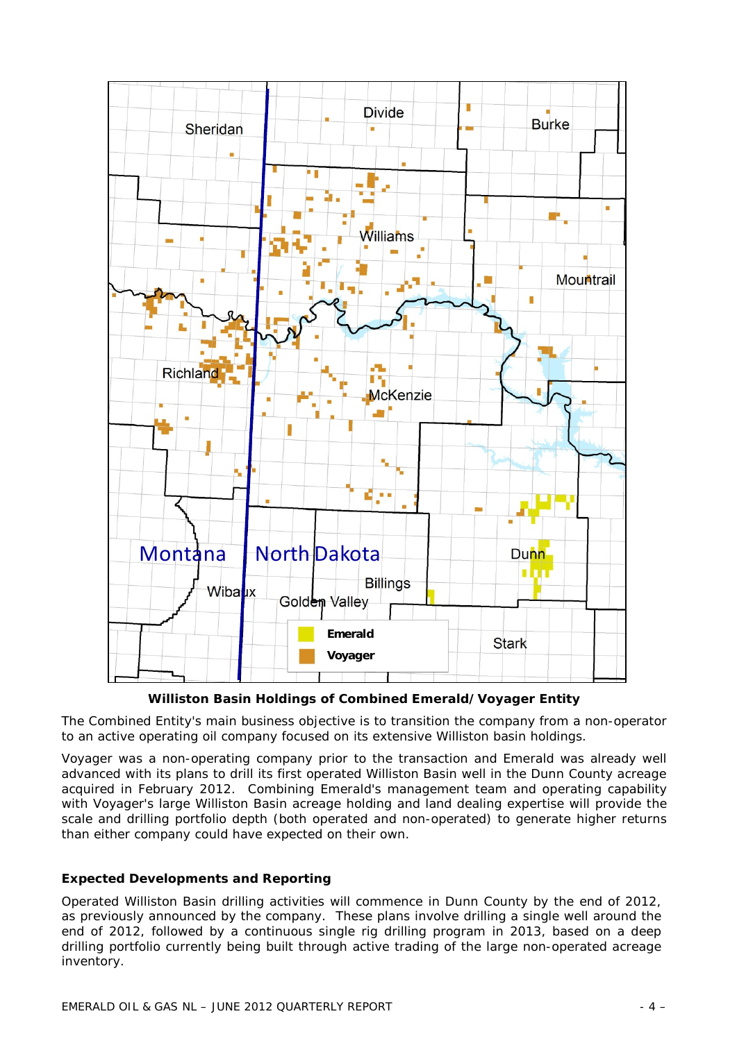

**Williston Basin Holdings of Combined Emerald/Voyager Entity**

The Combined Entity's main business objective is to transition the company from a non-operator to an active operating oil company focused on its extensive Williston basin holdings.

Voyager was a non-operating company prior to the transaction and Emerald was already well advanced with its plans to drill its first operated Williston Basin well in the Dunn County acreage acquired in February 2012. Combining Emerald's management team and operating capability with Voyager's large Williston Basin acreage holding and land dealing expertise will provide the scale and drilling portfolio depth (both operated and non-operated) to generate higher returns than either company could have expected on their own.

## **Expected Developments and Reporting**

Operated Williston Basin drilling activities will commence in Dunn County by the end of 2012, as previously announced by the company. These plans involve drilling a single well around the end of 2012, followed by a continuous single rig drilling program in 2013, based on a deep drilling portfolio currently being built through active trading of the large non-operated acreage inventory.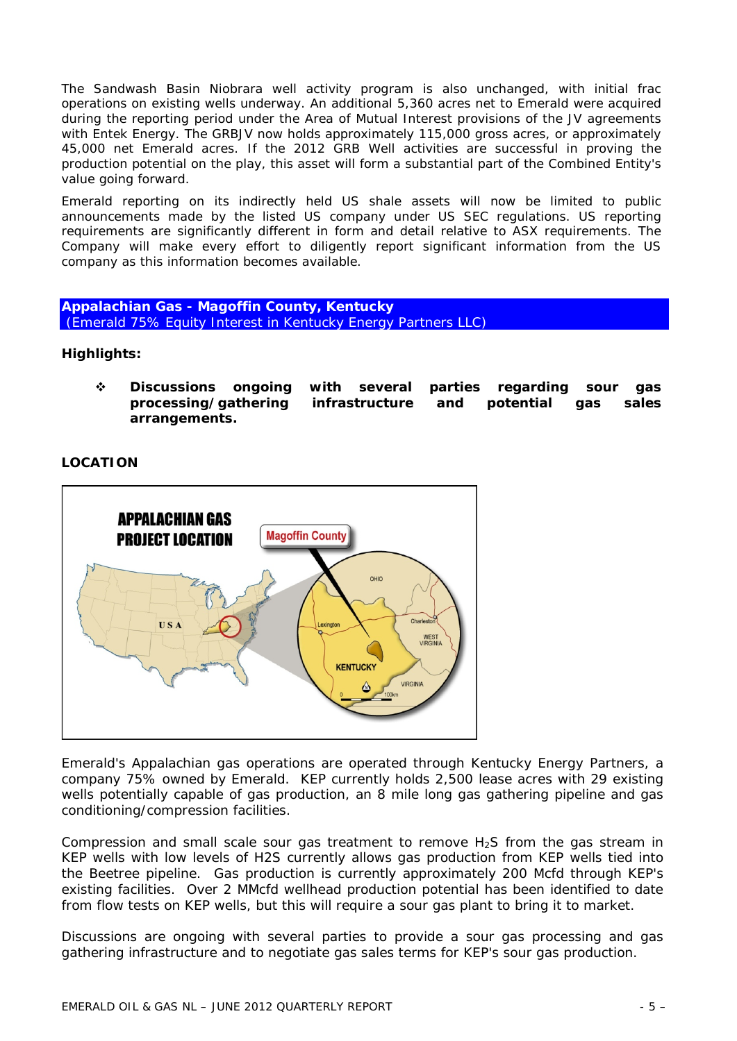The Sandwash Basin Niobrara well activity program is also unchanged, with initial frac operations on existing wells underway. An additional 5,360 acres net to Emerald were acquired during the reporting period under the Area of Mutual Interest provisions of the JV agreements with Entek Energy. The GRBJV now holds approximately 115,000 gross acres, or approximately 45,000 net Emerald acres. If the 2012 GRB Well activities are successful in proving the production potential on the play, this asset will form a substantial part of the Combined Entity's value going forward.

Emerald reporting on its indirectly held US shale assets will now be limited to public announcements made by the listed US company under US SEC regulations. US reporting requirements are significantly different in form and detail relative to ASX requirements. The Company will make every effort to diligently report significant information from the US company as this information becomes available.

**Appalachian Gas - Magoffin County, Kentucky** *(Emerald 75% Equity Interest in Kentucky Energy Partners LLC)*

## **Highlights:**

 **Discussions ongoing with several parties regarding sour gas processing/gathering infrastructure and potential gas sales arrangements.**

## **LOCATION**



Emerald's Appalachian gas operations are operated through Kentucky Energy Partners, a company 75% owned by Emerald. KEP currently holds 2,500 lease acres with 29 existing wells potentially capable of gas production, an 8 mile long gas gathering pipeline and gas conditioning/compression facilities.

Compression and small scale sour gas treatment to remove  $H<sub>2</sub>S$  from the gas stream in KEP wells with low levels of H2S currently allows gas production from KEP wells tied into the Beetree pipeline. Gas production is currently approximately 200 Mcfd through KEP's existing facilities. Over 2 MMcfd wellhead production potential has been identified to date from flow tests on KEP wells, but this will require a sour gas plant to bring it to market.

Discussions are ongoing with several parties to provide a sour gas processing and gas gathering infrastructure and to negotiate gas sales terms for KEP's sour gas production.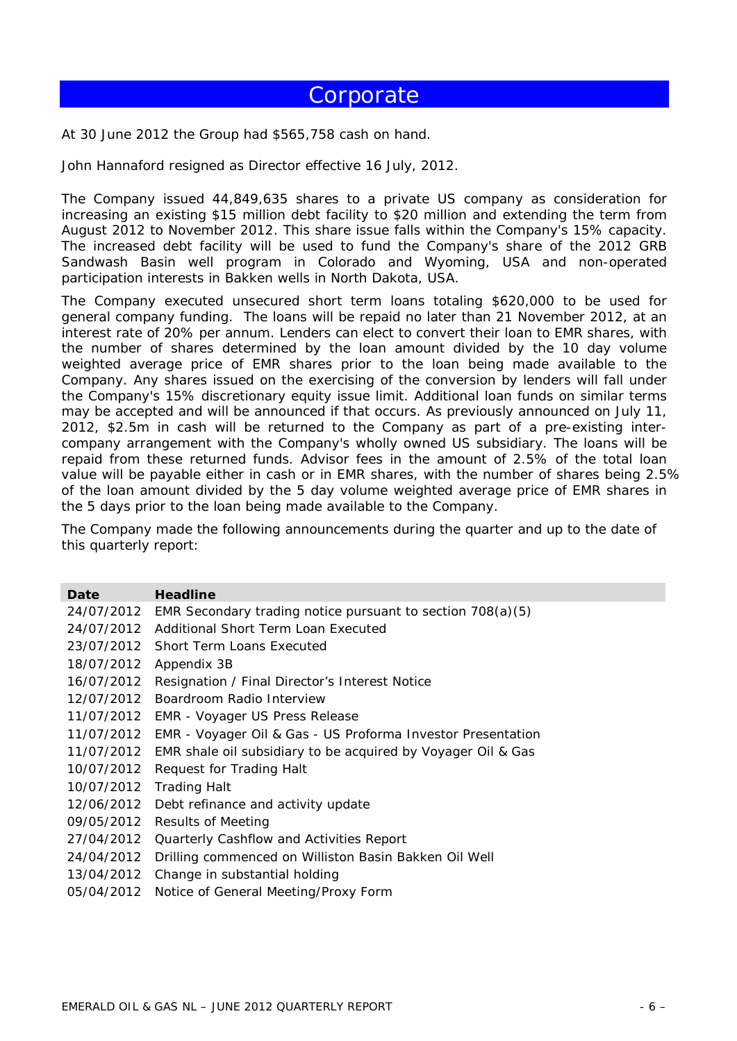# **Corporate**

At 30 June 2012 the Group had \$565,758 cash on hand.

John Hannaford resigned as Director effective 16 July, 2012.

The Company issued 44,849,635 shares to a private US company as consideration for increasing an existing \$15 million debt facility to \$20 million and extending the term from August 2012 to November 2012. This share issue falls within the Company's 15% capacity. The increased debt facility will be used to fund the Company's share of the 2012 GRB Sandwash Basin well program in Colorado and Wyoming, USA and non-operated participation interests in Bakken wells in North Dakota, USA.

The Company executed unsecured short term loans totaling \$620,000 to be used for general company funding. The loans will be repaid no later than 21 November 2012, at an interest rate of 20% per annum. Lenders can elect to convert their loan to EMR shares, with the number of shares determined by the loan amount divided by the 10 day volume weighted average price of EMR shares prior to the loan being made available to the Company. Any shares issued on the exercising of the conversion by lenders will fall under the Company's 15% discretionary equity issue limit. Additional loan funds on similar terms may be accepted and will be announced if that occurs. As previously announced on July 11, 2012, \$2.5m in cash will be returned to the Company as part of a pre-existing intercompany arrangement with the Company's wholly owned US subsidiary. The loans will be repaid from these returned funds. Advisor fees in the amount of 2.5% of the total loan value will be payable either in cash or in EMR shares, with the number of shares being 2.5% of the loan amount divided by the 5 day volume weighted average price of EMR shares in the 5 days prior to the loan being made available to the Company.

The Company made the following announcements during the quarter and up to the date of this quarterly report:

| Date       | <b>Headline</b>                                              |
|------------|--------------------------------------------------------------|
| 24/07/2012 | EMR Secondary trading notice pursuant to section 708(a)(5)   |
| 24/07/2012 | Additional Short Term Loan Executed                          |
| 23/07/2012 | <b>Short Term Loans Executed</b>                             |
| 18/07/2012 | Appendix 3B                                                  |
| 16/07/2012 | Resignation / Final Director's Interest Notice               |
| 12/07/2012 | Boardroom Radio Interview                                    |
| 11/07/2012 | EMR - Voyager US Press Release                               |
| 11/07/2012 | EMR - Voyager Oil & Gas - US Proforma Investor Presentation  |
| 11/07/2012 | EMR shale oil subsidiary to be acquired by Voyager Oil & Gas |
| 10/07/2012 | Request for Trading Halt                                     |
| 10/07/2012 | Trading Halt                                                 |
| 12/06/2012 | Debt refinance and activity update                           |
| 09/05/2012 | Results of Meeting                                           |
| 27/04/2012 | Quarterly Cashflow and Activities Report                     |
| 24/04/2012 | Drilling commenced on Williston Basin Bakken Oil Well        |
| 13/04/2012 | Change in substantial holding                                |
| 05/04/2012 | Notice of General Meeting/Proxy Form                         |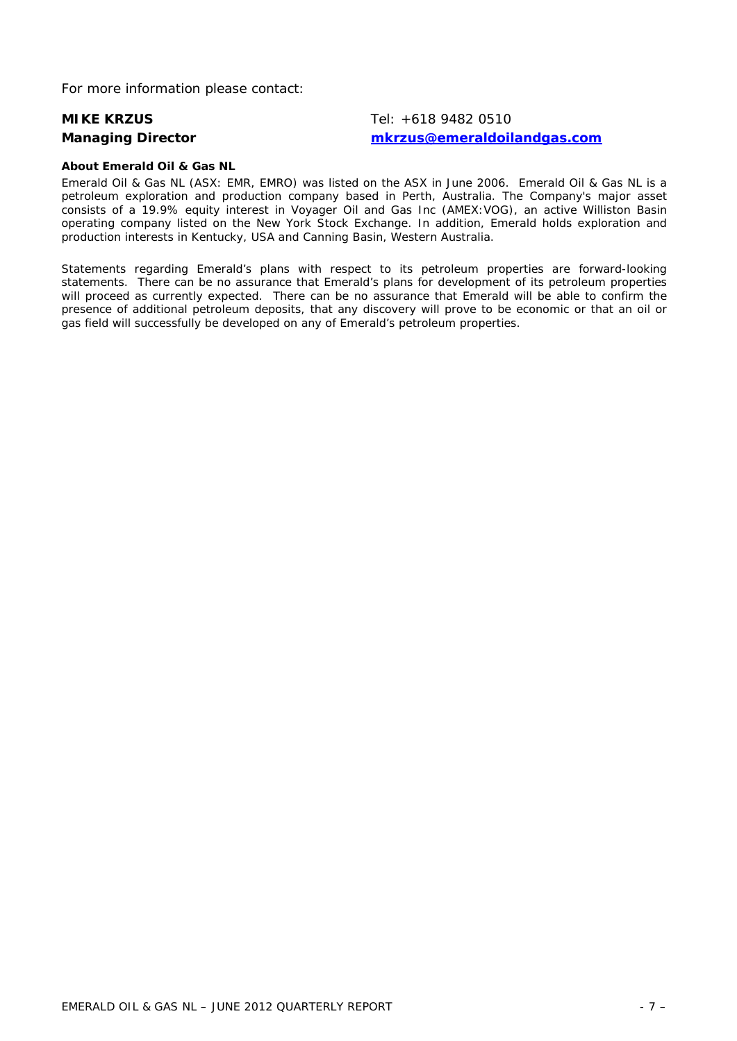For more information please contact:

## **MIKE KRZUS Managing Director**

Tel: +618 9482 0510 *[mkrzus@emeraldoilandgas.com](mailto:mkrzus@emeraldoilandgas.com)*

## **About Emerald Oil & Gas NL**

Emerald Oil & Gas NL (ASX: EMR, EMRO) was listed on the ASX in June 2006. Emerald Oil & Gas NL is a petroleum exploration and production company based in Perth, Australia. The Company's major asset consists of a 19.9% equity interest in Voyager Oil and Gas Inc (AMEX:VOG), an active Williston Basin operating company listed on the New York Stock Exchange. In addition, Emerald holds exploration and production interests in Kentucky, USA and Canning Basin, Western Australia.

*Statements regarding Emerald's plans with respect to its petroleum properties are forward-looking statements. There can be no assurance that Emerald's plans for development of its petroleum properties*  will proceed as currently expected. There can be no assurance that Emerald will be able to confirm the *presence of additional petroleum deposits, that any discovery will prove to be economic or that an oil or gas field will successfully be developed on any of Emerald's petroleum properties.*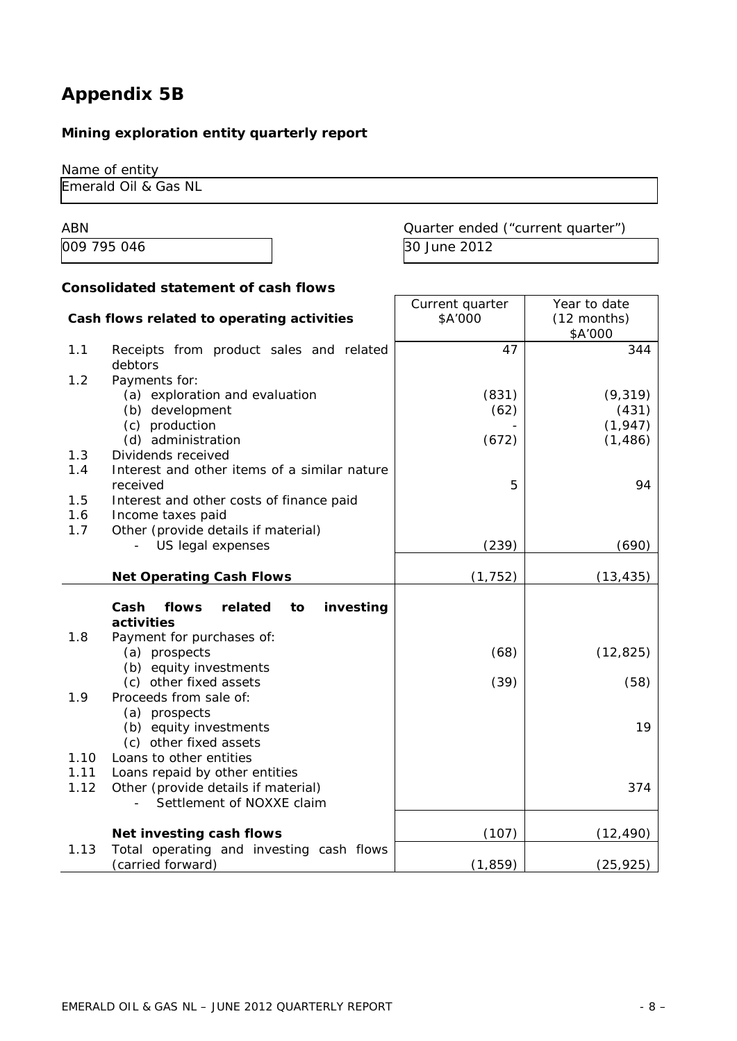# **Appendix 5B**

# **Mining exploration entity quarterly report**

Name of entity

Emerald Oil & Gas NL

ABN ABN Cuarter ended ("current quarter") 009 795 046 30 June 2012

## **Consolidated statement of cash flows**

|                                            |                                               | Current quarter | Year to date |  |
|--------------------------------------------|-----------------------------------------------|-----------------|--------------|--|
| Cash flows related to operating activities |                                               | \$A'000         | (12 months)  |  |
|                                            |                                               |                 | \$A'000      |  |
| 1.1                                        | Receipts from product sales and related       | 47              | 344          |  |
|                                            | debtors                                       |                 |              |  |
| 1.2                                        | Payments for:                                 |                 |              |  |
|                                            | (a) exploration and evaluation                | (831)           | (9, 319)     |  |
|                                            | (b) development                               | (62)            | (431)        |  |
|                                            | (c) production                                |                 | (1, 947)     |  |
| 1.3                                        | (d) administration<br>Dividends received      | (672)           | (1, 486)     |  |
| 1.4                                        | Interest and other items of a similar nature  |                 |              |  |
|                                            | received                                      | 5               | 94           |  |
| 1.5                                        | Interest and other costs of finance paid      |                 |              |  |
| 1.6                                        | Income taxes paid                             |                 |              |  |
| 1.7                                        | Other (provide details if material)           |                 |              |  |
|                                            | US legal expenses<br>$\overline{\phantom{a}}$ | (239)           | (690)        |  |
|                                            |                                               |                 |              |  |
|                                            | <b>Net Operating Cash Flows</b>               | (1, 752)        | (13, 435)    |  |
|                                            |                                               |                 |              |  |
|                                            | Cash<br>flows<br>investing<br>related<br>to   |                 |              |  |
|                                            | activities                                    |                 |              |  |
| 1.8                                        | Payment for purchases of:                     |                 |              |  |
|                                            | (a) prospects<br>(b) equity investments       | (68)            | (12, 825)    |  |
|                                            | (c) other fixed assets                        | (39)            | (58)         |  |
| 1.9                                        | Proceeds from sale of:                        |                 |              |  |
|                                            | (a) prospects                                 |                 |              |  |
|                                            | (b) equity investments                        |                 | 19           |  |
|                                            | (c) other fixed assets                        |                 |              |  |
| 1.10                                       | Loans to other entities                       |                 |              |  |
| 1.11                                       | Loans repaid by other entities                |                 |              |  |
| 1.12                                       | Other (provide details if material)           |                 | 374          |  |
|                                            | Settlement of NOXXE claim                     |                 |              |  |
|                                            |                                               |                 |              |  |
|                                            | Net investing cash flows                      | (107)           | (12, 490)    |  |
| 1.13                                       | Total operating and investing cash flows      |                 |              |  |
|                                            | (carried forward)                             | (1, 859)        | (25, 925)    |  |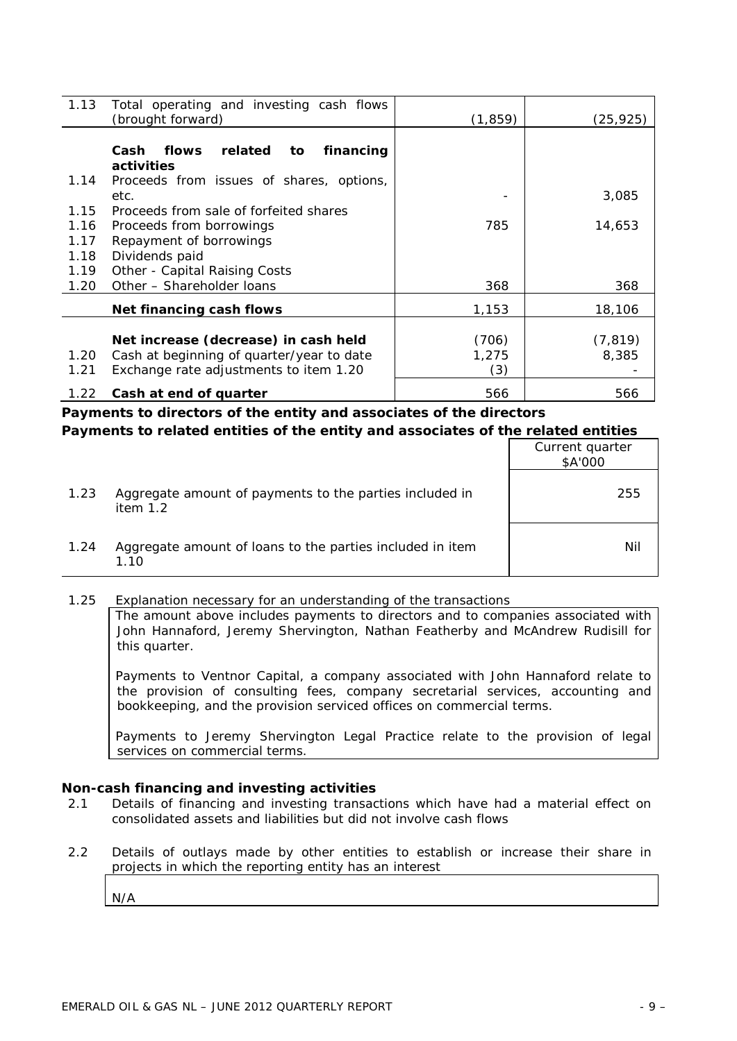| 1.13 | Total operating and investing cash flows<br>(brought forward) | (1, 859) | (25,925) |
|------|---------------------------------------------------------------|----------|----------|
|      | related<br>Cash<br>financing<br>flows<br>to<br>activities     |          |          |
| 1.14 | Proceeds from issues of shares, options,                      |          |          |
|      | etc.                                                          |          | 3,085    |
| 1.15 | Proceeds from sale of forfeited shares                        |          |          |
| 1.16 | Proceeds from borrowings                                      | 785      | 14,653   |
| 1.17 | Repayment of borrowings                                       |          |          |
| 1.18 | Dividends paid                                                |          |          |
| 1.19 | Other - Capital Raising Costs                                 |          |          |
| 1.20 | Other - Shareholder Ioans                                     | 368      | 368      |
|      | Net financing cash flows                                      | 1,153    | 18,106   |
|      |                                                               |          |          |
|      | Net increase (decrease) in cash held                          | (706)    | (7, 819) |
| 1.20 | Cash at beginning of quarter/year to date                     | 1,275    | 8,385    |
| 1.21 | Exchange rate adjustments to item 1.20                        | (3)      |          |
| 1.22 | Cash at end of quarter                                        | 566      | 566      |

**Payments to directors of the entity and associates of the directors Payments to related entities of the entity and associates of the related entities**

|      |                                                                       | Current quarter<br>\$A'000 |
|------|-----------------------------------------------------------------------|----------------------------|
| 1.23 | Aggregate amount of payments to the parties included in<br>item $1.2$ | 255                        |
| 1.24 | Aggregate amount of loans to the parties included in item<br>1.10     | Nil                        |

#### 1.25 Explanation necessary for an understanding of the transactions The amount above includes payments to directors and to companies associated with John Hannaford, Jeremy Shervington, Nathan Featherby and McAndrew Rudisill for

Payments to Ventnor Capital, a company associated with John Hannaford relate to the provision of consulting fees, company secretarial services, accounting and bookkeeping, and the provision serviced offices on commercial terms.

Payments to Jeremy Shervington Legal Practice relate to the provision of legal services on commercial terms.

## **Non-cash financing and investing activities**

- 2.1 Details of financing and investing transactions which have had a material effect on consolidated assets and liabilities but did not involve cash flows
- 2.2 Details of outlays made by other entities to establish or increase their share in projects in which the reporting entity has an interest

N/A

this quarter.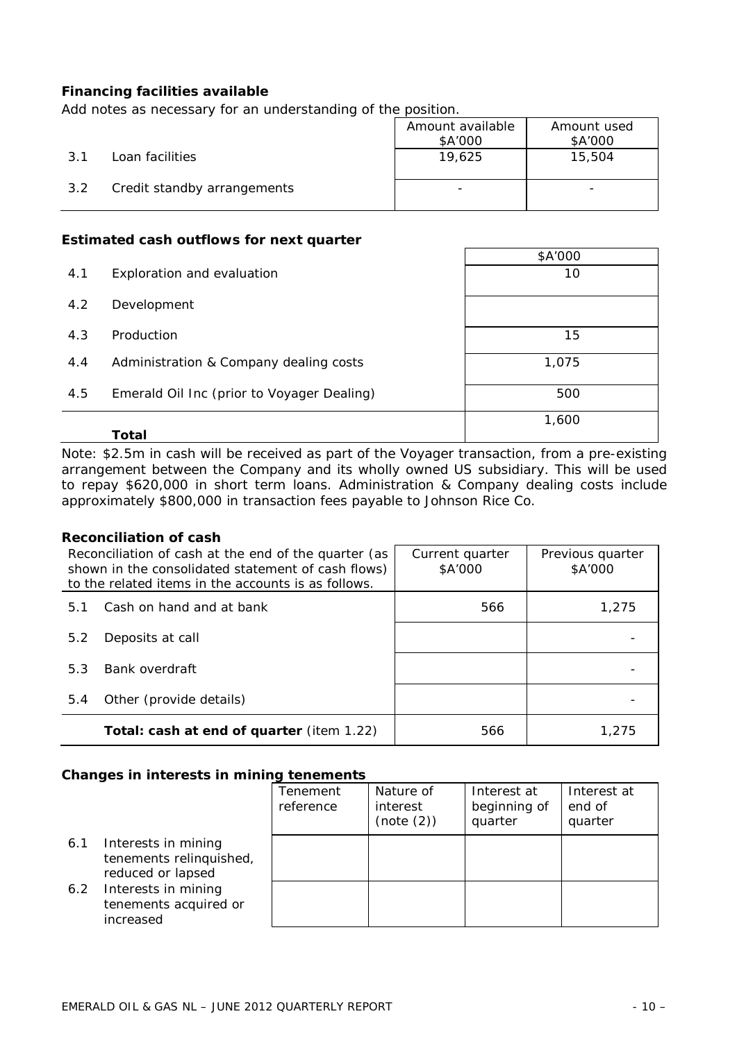## **Financing facilities available**

*Add notes as necessary for an understanding of the position.*

|     |                             | Amount available<br>\$A'000 | Amount used<br>\$A'000 |
|-----|-----------------------------|-----------------------------|------------------------|
| 3.1 | Loan facilities             | 19,625                      | 15,504                 |
| 3.2 | Credit standby arrangements |                             | -                      |

## **Estimated cash outflows for next quarter**

|     |                                            | \$A'000 |  |  |  |
|-----|--------------------------------------------|---------|--|--|--|
| 4.1 | Exploration and evaluation                 | 10      |  |  |  |
| 4.2 | Development                                |         |  |  |  |
| 4.3 | Production                                 | 15      |  |  |  |
| 4.4 | Administration & Company dealing costs     | 1,075   |  |  |  |
| 4.5 | Emerald Oil Inc (prior to Voyager Dealing) | 500     |  |  |  |
|     |                                            | 1,600   |  |  |  |
|     | Total                                      |         |  |  |  |

Note: \$2.5m in cash will be received as part of the Voyager transaction, from a pre-existing arrangement between the Company and its wholly owned US subsidiary. This will be used to repay \$620,000 in short term loans. Administration & Company dealing costs include approximately \$800,000 in transaction fees payable to Johnson Rice Co.

## **Reconciliation of cash**

| Reconciliation of cash at the end of the quarter (as<br>shown in the consolidated statement of cash flows)<br>to the related items in the accounts is as follows. |                                           | Current quarter<br>\$A'000 | Previous quarter<br>\$A'000 |
|-------------------------------------------------------------------------------------------------------------------------------------------------------------------|-------------------------------------------|----------------------------|-----------------------------|
| 5.1                                                                                                                                                               | Cash on hand and at bank                  | 566                        | 1,275                       |
| 5.2                                                                                                                                                               | Deposits at call                          |                            |                             |
| 5.3                                                                                                                                                               | Bank overdraft                            |                            |                             |
| 5.4                                                                                                                                                               | Other (provide details)                   |                            |                             |
|                                                                                                                                                                   | Total: cash at end of quarter (item 1.22) | 566                        | 1,275                       |

## **Changes in interests in mining tenements**

|     |                                                                     | Tenement<br>reference | Nature of<br>interest<br>(note (2)) | Interest at<br>beginning of<br>quarter | Interest at<br>end of<br>quarter |
|-----|---------------------------------------------------------------------|-----------------------|-------------------------------------|----------------------------------------|----------------------------------|
| 6.1 | Interests in mining<br>tenements relinquished,<br>reduced or lapsed |                       |                                     |                                        |                                  |
| 6.2 | Interests in mining<br>tenements acquired or<br>increased           |                       |                                     |                                        |                                  |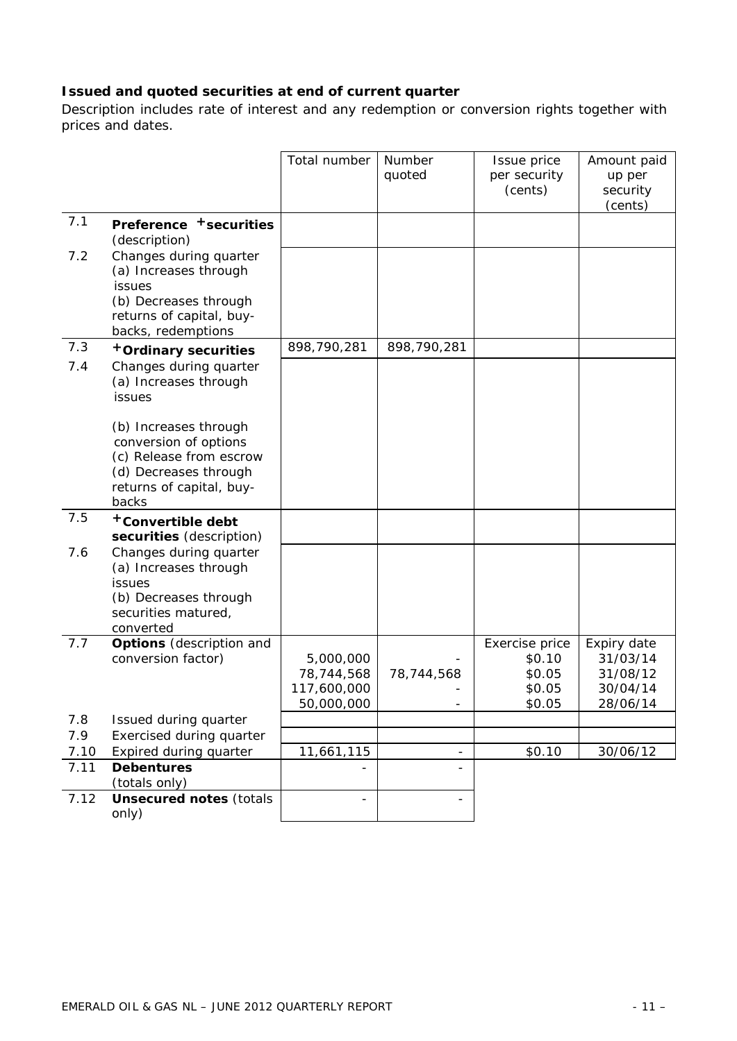## **Issued and quoted securities at end of current quarter**

*Description includes rate of interest and any redemption or conversion rights together with prices and dates.*

|              |                                                                                                                                         | Total number                                         | Number<br>quoted         | Issue price<br>per security<br>(cents)                 | Amount paid<br>up per<br>security<br>(cents)                |
|--------------|-----------------------------------------------------------------------------------------------------------------------------------------|------------------------------------------------------|--------------------------|--------------------------------------------------------|-------------------------------------------------------------|
| 7.1          | Preference +securities<br>(description)                                                                                                 |                                                      |                          |                                                        |                                                             |
| 7.2          | Changes during quarter<br>(a) Increases through<br>issues<br>(b) Decreases through<br>returns of capital, buy-<br>backs, redemptions    |                                                      |                          |                                                        |                                                             |
| 7.3          | +Ordinary securities                                                                                                                    | 898,790,281                                          | 898,790,281              |                                                        |                                                             |
| 7.4          | Changes during quarter<br>(a) Increases through<br>issues                                                                               |                                                      |                          |                                                        |                                                             |
|              | (b) Increases through<br>conversion of options<br>(c) Release from escrow<br>(d) Decreases through<br>returns of capital, buy-<br>backs |                                                      |                          |                                                        |                                                             |
| 7.5          | +Convertible debt<br>securities (description)                                                                                           |                                                      |                          |                                                        |                                                             |
| 7.6          | Changes during quarter<br>(a) Increases through<br>issues<br>(b) Decreases through<br>securities matured,<br>converted                  |                                                      |                          |                                                        |                                                             |
| 7.7          | <b>Options</b> (description and<br>conversion factor)                                                                                   | 5,000,000<br>78,744,568<br>117,600,000<br>50,000,000 | 78,744,568               | Exercise price<br>\$0.10<br>\$0.05<br>\$0.05<br>\$0.05 | Expiry date<br>31/03/14<br>31/08/12<br>30/04/14<br>28/06/14 |
| 7.8          | Issued during quarter                                                                                                                   |                                                      |                          |                                                        |                                                             |
| 7.9          | Exercised during quarter                                                                                                                |                                                      |                          |                                                        |                                                             |
| 7.10<br>7.11 | Expired during quarter<br><b>Debentures</b>                                                                                             | 11,661,115                                           | $\overline{\phantom{0}}$ | \$0.10                                                 | 30/06/12                                                    |
|              | (totals only)                                                                                                                           |                                                      |                          |                                                        |                                                             |
| 7.12         | <b>Unsecured notes (totals</b><br>only)                                                                                                 | $\overline{\phantom{0}}$                             |                          |                                                        |                                                             |